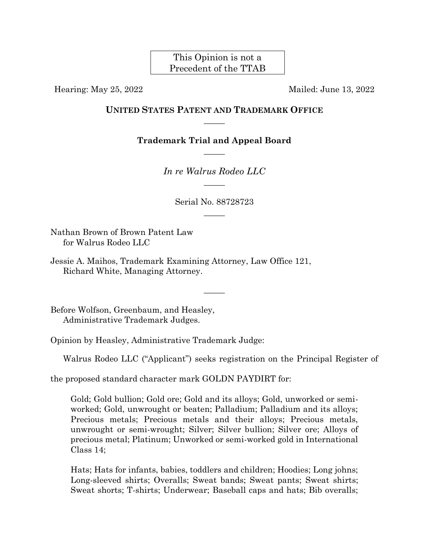This Opinion is not a Precedent of the TTAB

Hearing: May 25, 2022 Mailed: June 13, 2022

## **UNITED STATES PATENT AND TRADEMARK OFFICE**  $\overline{\phantom{a}}$

**Trademark Trial and Appeal Board**  $\overline{\phantom{a}}$ 

> *In re Walrus Rodeo LLC*  $\overline{\phantom{a}}$

> > Serial No. 88728723  $\overline{\phantom{a}}$

> > > $\overline{\phantom{a}}$

Nathan Brown of Brown Patent Law for Walrus Rodeo LLC

Jessie A. Maihos, Trademark Examining Attorney, Law Office 121, Richard White, Managing Attorney.

Before Wolfson, Greenbaum, and Heasley, Administrative Trademark Judges.

Opinion by Heasley, Administrative Trademark Judge:

Walrus Rodeo LLC ("Applicant") seeks registration on the Principal Register of

the proposed standard character mark GOLDN PAYDIRT for:

Gold; Gold bullion; Gold ore; Gold and its alloys; Gold, unworked or semiworked; Gold, unwrought or beaten; Palladium; Palladium and its alloys; Precious metals; Precious metals and their alloys; Precious metals, unwrought or semi-wrought; Silver; Silver bullion; Silver ore; Alloys of precious metal; Platinum; Unworked or semi-worked gold in International Class 14;

Hats; Hats for infants, babies, toddlers and children; Hoodies; Long johns; Long-sleeved shirts; Overalls; Sweat bands; Sweat pants; Sweat shirts; Sweat shorts; T-shirts; Underwear; Baseball caps and hats; Bib overalls;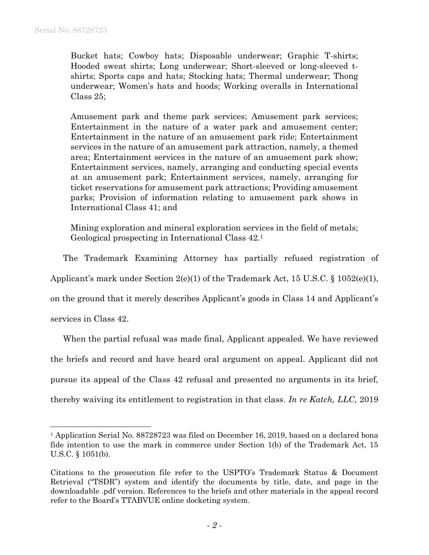Bucket hats; Cowboy hats; Disposable underwear; Graphic T-shirts; Hooded sweat shirts; Long underwear; Short-sleeved or long-sleeved tshirts; Sports caps and hats; Stocking hats; Thermal underwear; Thong underwear; Women's hats and hoods; Working overalls in International Class 25;

Amusement park and theme park services; Amusement park services; Entertainment in the nature of a water park and amusement center; Entertainment in the nature of an amusement park ride; Entertainment services in the nature of an amusement park attraction, namely, a themed area; Entertainment services in the nature of an amusement park show; Entertainment services, namely, arranging and conducting special events at an amusement park; Entertainment services, namely, arranging for ticket reservations for amusement park attractions; Providing amusement parks; Provision of information relating to amusement park shows in International Class 41; and

Mining exploration and mineral exploration services in the field of metals; Geological prospecting in International Class 42. 1

The Trademark Examining Attorney has partially refused registration of

Applicant's mark under Section 2(e)(1) of the Trademark Act, 15 U.S.C. § 1052(e)(1),

on the ground that it merely describes Applicant's goods in Class 14 and Applicant's

services in Class 42.

l

When the partial refusal was made final, Applicant appealed. We have reviewed the briefs and record and have heard oral argument on appeal. Applicant did not pursue its appeal of the Class 42 refusal and presented no arguments in its brief, thereby waiving its entitlement to registration in that class. *In re Katch, LLC,* 2019

<sup>&</sup>lt;sup>1</sup> Application Serial No. 88728723 was filed on December 16, 2019, based on a declared bona fide intention to use the mark in commerce under Section 1(b) of the Trademark Act, 15 U.S.C. § 1051(b).

Citations to the prosecution file refer to the USPTO's Trademark Status & Document Retrieval ("TSDR") system and identify the documents by title, date, and page in the downloadable .pdf version. References to the briefs and other materials in the appeal record refer to the Board's TTABVUE online docketing system.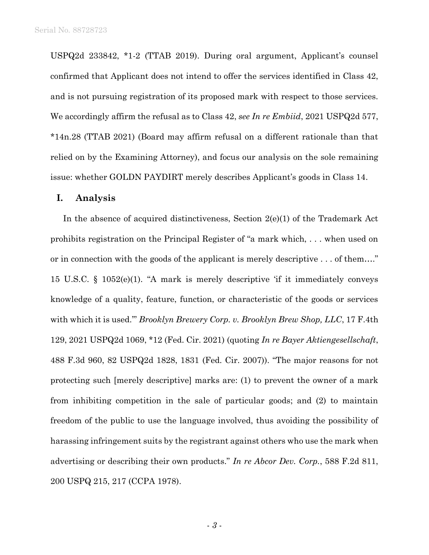USPQ2d 233842, \*1-2 (TTAB 2019). During oral argument, Applicant's counsel confirmed that Applicant does not intend to offer the services identified in Class 42, and is not pursuing registration of its proposed mark with respect to those services. We accordingly affirm the refusal as to Class 42, *see In re Embiid*, 2021 USPQ2d 577, \*14n.28 (TTAB 2021) (Board may affirm refusal on a different rationale than that relied on by the Examining Attorney), and focus our analysis on the sole remaining issue: whether GOLDN PAYDIRT merely describes Applicant's goods in Class 14.

## **I. Analysis**

In the absence of acquired distinctiveness, Section 2(e)(1) of the Trademark Act prohibits registration on the Principal Register of "a mark which, . . . when used on or in connection with the goods of the applicant is merely descriptive . . . of them…." 15 U.S.C. § 1052(e)(1). "A mark is merely descriptive 'if it immediately conveys knowledge of a quality, feature, function, or characteristic of the goods or services with which it is used.'" *Brooklyn Brewery Corp. v. Brooklyn Brew Shop, LLC*, 17 F.4th 129, 2021 USPQ2d 1069, \*12 (Fed. Cir. 2021) (quoting *In re Bayer Aktiengesellschaft*, 488 F.3d 960, 82 USPQ2d 1828, 1831 (Fed. Cir. 2007)). "The major reasons for not protecting such [merely descriptive] marks are: (1) to prevent the owner of a mark from inhibiting competition in the sale of particular goods; and (2) to maintain freedom of the public to use the language involved, thus avoiding the possibility of harassing infringement suits by the registrant against others who use the mark when advertising or describing their own products." *In re Abcor Dev. Corp.*, 588 F.2d 811, 200 USPQ 215, 217 (CCPA 1978).

- *3* -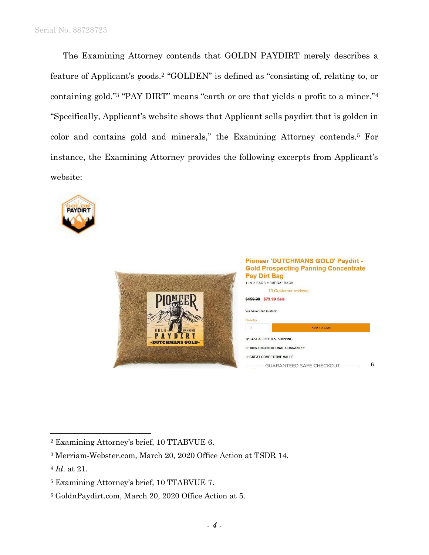The Examining Attorney contends that GOLDN PAYDIRT merely describes a feature of Applicant's goods.<sup>2</sup> "GOLDEN" is defined as "consisting of, relating to, or containing gold."<sup>3</sup> "PAY DIRT" means "earth or ore that yields a profit to a miner."<sup>4</sup> "Specifically, Applicant's website shows that Applicant sells paydirt that is golden in color and contains gold and minerals," the Examining Attorney contends.<sup>5</sup> For instance, the Examining Attorney provides the following excerpts from Applicant's website:







<sup>2</sup> Examining Attorney's brief, 10 TTABVUE 6.

<sup>3</sup> Merriam-Webster.com, March 20, 2020 Office Action at TSDR 14.

<sup>4</sup> *Id*. at 21.

<sup>5</sup> Examining Attorney's brief, 10 TTABVUE 7.

<sup>6</sup> GoldnPaydirt.com, March 20, 2020 Office Action at 5.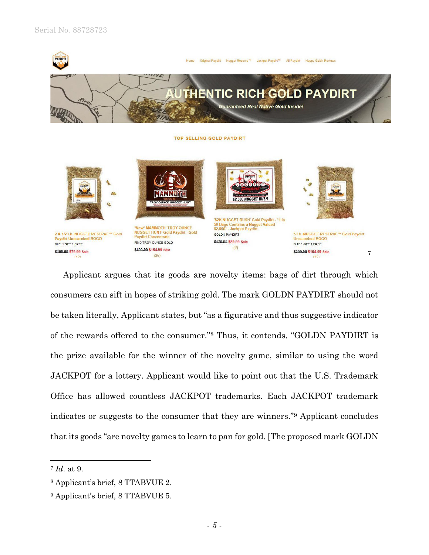



Applicant argues that its goods are novelty items: bags of dirt through which consumers can sift in hopes of striking gold. The mark GOLDN PAYDIRT should not be taken literally, Applicant states, but "as a figurative and thus suggestive indicator of the rewards offered to the consumer."<sup>8</sup> Thus, it contends, "GOLDN PAYDIRT is the prize available for the winner of the novelty game, similar to using the word JACKPOT for a lottery. Applicant would like to point out that the U.S. Trademark Office has allowed countless JACKPOT trademarks. Each JACKPOT trademark indicates or suggests to the consumer that they are winners."<sup>9</sup> Applicant concludes that its goods "are novelty games to learn to pan for gold. [The proposed mark GOLDN

<sup>7</sup> *Id*. at 9.

<sup>8</sup> Applicant's brief, 8 TTABVUE 2.

<sup>9</sup> Applicant's brief, 8 TTABVUE 5.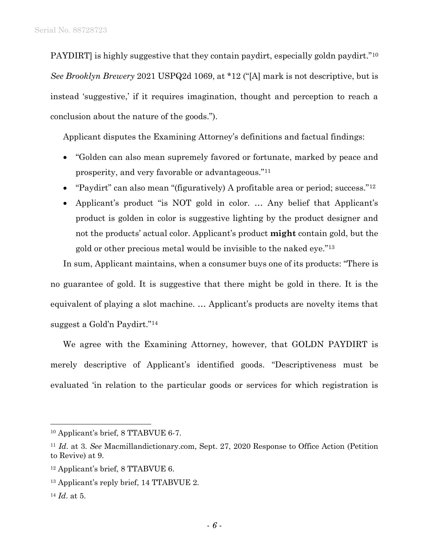PAYDIRT] is highly suggestive that they contain paydirt, especially goldn paydirt."<sup>10</sup> *See Brooklyn Brewery* 2021 USPQ2d 1069, at \*12 ("[A] mark is not descriptive, but is instead 'suggestive,' if it requires imagination, thought and perception to reach a conclusion about the nature of the goods.").

Applicant disputes the Examining Attorney's definitions and factual findings:

- "Golden can also mean supremely favored or fortunate, marked by peace and prosperity, and very favorable or advantageous."<sup>11</sup>
- "Paydirt" can also mean "(figuratively) A profitable area or period; success."<sup>12</sup>
- Applicant's product "is NOT gold in color. ... Any belief that Applicant's product is golden in color is suggestive lighting by the product designer and not the products' actual color. Applicant's product **might** contain gold, but the gold or other precious metal would be invisible to the naked eye."<sup>13</sup>

In sum, Applicant maintains, when a consumer buys one of its products: "There is no guarantee of gold. It is suggestive that there might be gold in there. It is the equivalent of playing a slot machine. … Applicant's products are novelty items that suggest a Gold'n Paydirt."<sup>14</sup>

We agree with the Examining Attorney, however, that GOLDN PAYDIRT is merely descriptive of Applicant's identified goods. "Descriptiveness must be evaluated 'in relation to the particular goods or services for which registration is

<sup>14</sup> *Id*. at 5.

 $\overline{a}$ 

<sup>10</sup> Applicant's brief, 8 TTABVUE 6-7.

<sup>11</sup> *Id*. at 3. *See* Macmillandictionary.com, Sept. 27, 2020 Response to Office Action (Petition to Revive) at 9.

<sup>12</sup> Applicant's brief, 8 TTABVUE 6.

<sup>13</sup> Applicant's reply brief, 14 TTABVUE 2.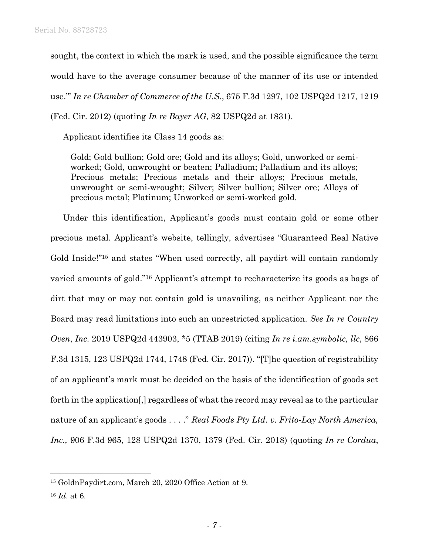sought, the context in which the mark is used, and the possible significance the term would have to the average consumer because of the manner of its use or intended use.'" *In re Chamber of Commerce of the U.S*., 675 F.3d 1297, 102 USPQ2d 1217, 1219 (Fed. Cir. 2012) (quoting *In re Bayer AG*, 82 USPQ2d at 1831).

Applicant identifies its Class 14 goods as:

Gold; Gold bullion; Gold ore; Gold and its alloys; Gold, unworked or semiworked; Gold, unwrought or beaten; Palladium; Palladium and its alloys; Precious metals; Precious metals and their alloys; Precious metals, unwrought or semi-wrought; Silver; Silver bullion; Silver ore; Alloys of precious metal; Platinum; Unworked or semi-worked gold.

Under this identification, Applicant's goods must contain gold or some other precious metal. Applicant's website, tellingly, advertises "Guaranteed Real Native Gold Inside!"<sup>15</sup> and states "When used correctly, all paydirt will contain randomly varied amounts of gold."<sup>16</sup> Applicant's attempt to recharacterize its goods as bags of dirt that may or may not contain gold is unavailing, as neither Applicant nor the Board may read limitations into such an unrestricted application. *See In re Country Oven*, *Inc.* 2019 USPQ2d 443903, \*5 (TTAB 2019) (citing *In re i.am.symbolic, llc*, 866 F.3d 1315, 123 USPQ2d 1744, 1748 (Fed. Cir. 2017)). "[T]he question of registrability of an applicant's mark must be decided on the basis of the identification of goods set forth in the application[,] regardless of what the record may reveal as to the particular nature of an applicant's goods . . . ." *Real Foods Pty Ltd. v. Frito-Lay North America, Inc.,* 906 F.3d 965, 128 USPQ2d 1370, 1379 (Fed. Cir. 2018) (quoting *In re Cordua*,

 $\overline{a}$ 

<sup>15</sup> GoldnPaydirt.com, March 20, 2020 Office Action at 9.

<sup>16</sup> *Id*. at 6.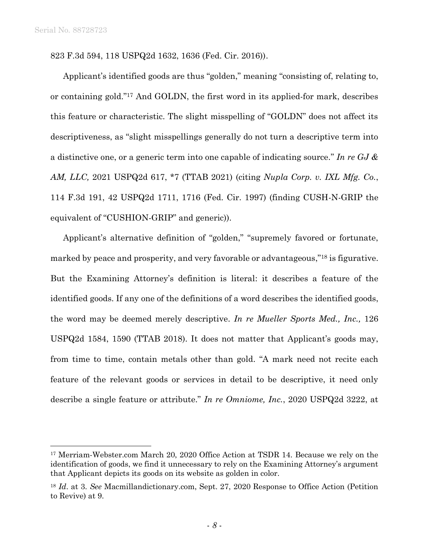l

823 F.3d 594, 118 USPQ2d 1632, 1636 (Fed. Cir. 2016)).

Applicant's identified goods are thus "golden," meaning "consisting of, relating to, or containing gold."<sup>17</sup> And GOLDN, the first word in its applied-for mark, describes this feature or characteristic. The slight misspelling of "GOLDN" does not affect its descriptiveness, as "slight misspellings generally do not turn a descriptive term into a distinctive one, or a generic term into one capable of indicating source." *In re GJ & AM, LLC,* 2021 USPQ2d 617, \*7 (TTAB 2021) (citing *Nupla Corp. v. IXL Mfg. Co.*, 114 F.3d 191, 42 USPQ2d 1711, 1716 (Fed. Cir. 1997) (finding CUSH-N-GRIP the equivalent of "CUSHION-GRIP" and generic)).

Applicant's alternative definition of "golden," "supremely favored or fortunate, marked by peace and prosperity, and very favorable or advantageous,"<sup>18</sup> is figurative. But the Examining Attorney's definition is literal: it describes a feature of the identified goods. If any one of the definitions of a word describes the identified goods, the word may be deemed merely descriptive. *In re Mueller Sports Med., Inc.,* 126 USPQ2d 1584, 1590 (TTAB 2018). It does not matter that Applicant's goods may, from time to time, contain metals other than gold. "A mark need not recite each feature of the relevant goods or services in detail to be descriptive, it need only describe a single feature or attribute." *In re Omniome, Inc.*, 2020 USPQ2d 3222, at

<sup>17</sup> Merriam-Webster.com March 20, 2020 Office Action at TSDR 14. Because we rely on the identification of goods, we find it unnecessary to rely on the Examining Attorney's argument that Applicant depicts its goods on its website as golden in color.

<sup>18</sup> *Id*. at 3. *See* Macmillandictionary.com, Sept. 27, 2020 Response to Office Action (Petition to Revive) at 9.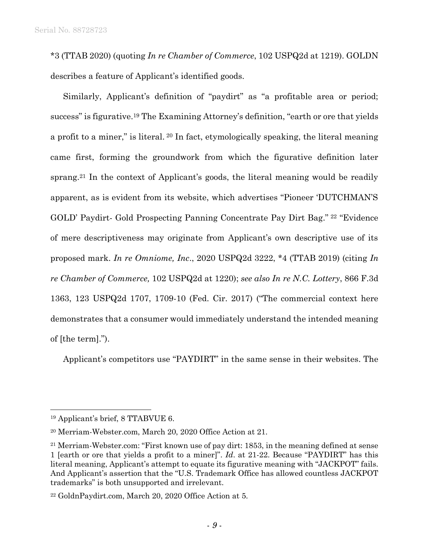\*3 (TTAB 2020) (quoting *In re Chamber of Commerce*, 102 USPQ2d at 1219). GOLDN describes a feature of Applicant's identified goods.

Similarly, Applicant's definition of "paydirt" as "a profitable area or period; success" is figurative.<sup>19</sup> The Examining Attorney's definition, "earth or ore that yields a profit to a miner," is literal. <sup>20</sup> In fact, etymologically speaking, the literal meaning came first, forming the groundwork from which the figurative definition later sprang.<sup>21</sup> In the context of Applicant's goods, the literal meaning would be readily apparent, as is evident from its website, which advertises "Pioneer 'DUTCHMAN'S GOLD' Paydirt- Gold Prospecting Panning Concentrate Pay Dirt Bag." <sup>22</sup> "Evidence of mere descriptiveness may originate from Applicant's own descriptive use of its proposed mark. *In re Omniome, Inc*., 2020 USPQ2d 3222, \*4 (TTAB 2019) (citing *In re Chamber of Commerce,* 102 USPQ2d at 1220); *see also In re N.C. Lottery*, 866 F.3d 1363, 123 USPQ2d 1707, 1709-10 (Fed. Cir. 2017) ("The commercial context here demonstrates that a consumer would immediately understand the intended meaning of [the term].").

Applicant's competitors use "PAYDIRT" in the same sense in their websites. The

<sup>19</sup> Applicant's brief, 8 TTABVUE 6.

<sup>20</sup> Merriam-Webster.com, March 20, 2020 Office Action at 21.

<sup>21</sup> Merriam-Webster.com: "First known use of pay dirt: 1853, in the meaning defined at sense 1 [earth or ore that yields a profit to a miner]". *Id*. at 21-22. Because "PAYDIRT" has this literal meaning, Applicant's attempt to equate its figurative meaning with "JACKPOT" fails. And Applicant's assertion that the "U.S. Trademark Office has allowed countless JACKPOT trademarks" is both unsupported and irrelevant.

<sup>22</sup> GoldnPaydirt.com, March 20, 2020 Office Action at 5.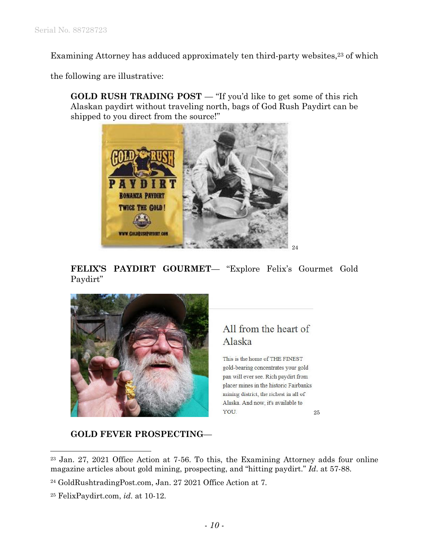Examining Attorney has adduced approximately ten third-party websites,<sup>23</sup> of which

the following are illustrative:

**GOLD RUSH TRADING POST** — "If you'd like to get some of this rich Alaskan paydirt without traveling north, bags of God Rush Paydirt can be shipped to you direct from the source!"



**FELIX'S PAYDIRT GOURMET**— "Explore Felix's Gourmet Gold Paydirt"



## All from the heart of Alaska

This is the home of THE FINEST gold-bearing concentrates your gold pan will ever see. Rich paydirt from placer mines in the historic Fairbanks mining district, the richest in all of Alaska. And now, it's available to YOU. 25

**GOLD FEVER PROSPECTING**—

<sup>23</sup> Jan. 27, 2021 Office Action at 7-56. To this, the Examining Attorney adds four online magazine articles about gold mining, prospecting, and "hitting paydirt." *Id*. at 57-88.

<sup>24</sup> GoldRushtradingPost.com, Jan. 27 2021 Office Action at 7.

<sup>25</sup> FelixPaydirt.com, *id*. at 10-12.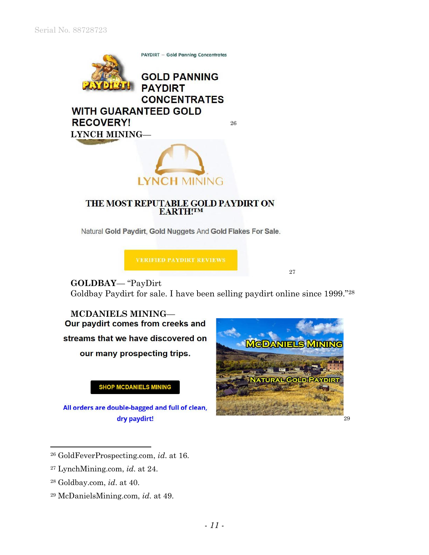

# THE MOST REPUTABLE GOLD PAYDIRT ON EARTH!TM

LYNCH MINING

Natural Gold Paydirt, Gold Nuggets And Gold Flakes For Sale.

**VERIFIED PAYDIRT REVIEWS** 

27

**GOLDBAY**— "PayDirt Goldbay Paydirt for sale. I have been selling paydirt online since 1999."<sup>28</sup>

**MCDANIELS MINING**— Our paydirt comes from creeks and streams that we have discovered on our many prospecting trips.

**SHOP MCDANIELS MINING** 

All orders are double-bagged and full of clean, dry paydirt!



<sup>26</sup> GoldFeverProspecting.com, *id*. at 16.

- <sup>27</sup> LynchMining.com, *id*. at 24.
- <sup>28</sup> Goldbay.com, *id*. at 40.

l

<sup>29</sup> McDanielsMining.com, *id*. at 49.